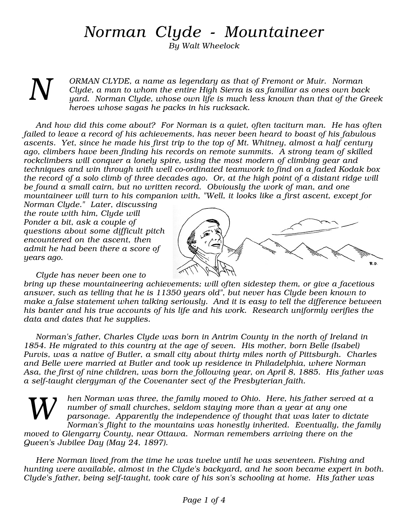## Norman Clyde - Mountaineer

By Walt Wheelock

N

ORMAN CLYDE, a name as legendary as that of Fremont or Muir. Norman Clyde, a man to whom the entire High Sierra is as familiar as ones own back yard. Norman Clyde, whose own life is much less known than that of the Greek heroes whose sagas he packs in his rucksack.

And how did this come about? For Norman is a quiet, often taciturn man. He has often failed to leave a record of his achievements, has never been heard to boast of his fabulous ascents. Yet, since he made his first trip to the top of Mt. Whitney, almost a half century ago, climbers have been finding his records on remote summits. A strong team of skilled rockclimbers will conquer a lonely spire, using the most modern of climbing gear and techniques and win through with well co-ordinated teamwork to find on a faded Kodak box the record of a solo climb of three decades ago. Or, at the high point of a distant ridge will be found a small cairn, but no written record. Obviously the work of man, and one mountaineer will turn to his companion with, "Well, it looks like a first ascent, except for

Norman Clyde." Later, discussing the route with him, Clyde will Ponder a bit, ask a couple of questions about some difficult pitch encountered on the ascent, then admit he had been there a score of years ago.



Clyde has never been one to

bring up these mountaineering achievements; will often sidestep them, or give a facetious answer, such as telling that he is 11350 years old", but never has Clyde been known to make a false statement when talking seriously. And it is easy to tell the difference between his banter and his true accounts of his life and his work. Research uniformly verifies the data and dates that he supplies.

Norman's father, Charles Clyde was born in Antrim County in the north of Ireland in 1854. He migrated to this country at the age of seven. His mother, born Belle (Isabel) Purvis, was a native of Butler, a small city about thirty miles north of Pittsburgh. Charles and Belle were married at Butler and took up residence in Philadelphia, where Norman Asa, the first of nine children, was born the following year, on April 8, 1885. His father was a self-taught clergyman of the Covenanter sect of the Presbyterian faith.

hen Norman was three, the family moved to Ohio. Here, his father served at a number of small churches, seldom staying more than a year at any one parsonage. Apparently the independence of thought that was later to dictate Norman's flight to the mountains was honestly inherited. Eventually, the family moved to Glengarry County, near Ottawa. Norman remembers arriving there on the Queen's Jubilee Day (May 24, 1897). W

Here Norman lived from the time he was twelve until he was seventeen. Fishing and hunting were available, almost in the Clyde's backyard, and he soon became expert in both. Clyde's father, being self-taught, took care of his son's schooling at home. His father was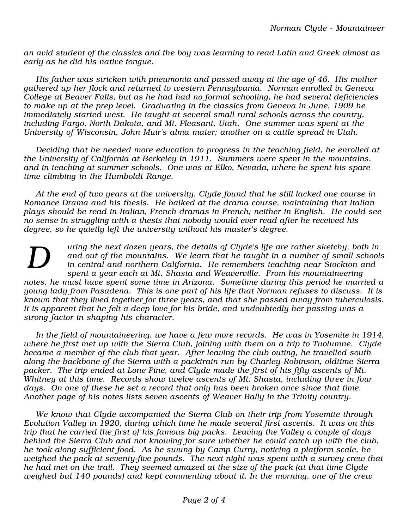an avid student of the classics and the boy was learning to read Latin and Greek almost as early as he did his native tongue.

His father was stricken with pneumonia and passed away at the age of 46. His mother gathered up her flock and returned to western Pennsylvania. Norman enrolled in Geneva College at Beaver Falls, but as he had had no formal schooling, he had several deficiencies to make up at the prep level. Graduating in the classics from Geneva in June, 1909 he immediately started west. He taught at several small rural schools across the country, including Fargo, North Dakota, and Mt. Pleasant, Utah. One summer was spent at the University of Wisconsin, John Muir's alma mater; another on a cattle spread in Utah.

Deciding that he needed more education to progress in the teaching field, he enrolled at the University of California at Berkeley in 1911. Summers were spent in the mountains. and in teaching at summer schools. One was at Elko, Nevada, where he spent his spare time climbing in the Humboldt Range.

At the end of two years at the university, Clyde found that he still lacked one course in Romance Drama and his thesis. He balked at the drama course, maintaining that Italian plays should be read in Italian, French dramas in French; neither in English. He could see no sense in struggling with a thesis that nobody would ever read after he received his degree, so he quietly left the university without his master's degree.

uring the next dozen years, the details of Clyde's life are rather sketchy, both in and out of the mountains. We learn that he taught in a number of small schools in central and northern California. He remembers teaching near Stockton and spent a year each at Mt. Shasta and Weaverville. From his mountaineering notes, he must have spent some time in Arizona. Sometime during this period he married a young lady from Pasadena. This is one part of his life that Norman refuses to discuss. It is known that they lived together for three years, and that she passed away from tuberculosis. It is apparent that he felt a deep love for his bride, and undoubtedly her passing was a strong factor in shaping his character. D

In the field of mountaineering, we have a few more records. He was in Yosemite in 1914, where he first met up with the Sierra Club, joining with them on a trip to Tuolumne. Clyde became a member of the club that year. After leaving the club outing, he travelled south along the backbone of the Sierra with a packtrain run by Charley Robinson, oldtime Sierra packer. The trip ended at Lone Pine, and Clyde made the first of his fifty ascents of Mt. Whitney at this time. Records show twelve ascents of Mt. Shasta, including three in four days. On one of these he set a record that only has been broken once since that time. Another page of his notes lists seven ascents of Weaver Bally in the Trinity country.

We know that Clyde accompanied the Sierra Club on their trip from Yosemite through Evolution Valley in 1920, during which time he made several first ascents. It was on this trip that he carried the first of his famous big packs. Leaving the Valley a couple of days behind the Sierra Club and not knowing for sure whether he could catch up with the club, he took along sufficient food. As he swung by Camp Curry, noticing a platform scale, he weighed the pack at seventy-five pounds. The next night was spent with a survey crew that he had met on the trail. They seemed amazed at the size of the pack (at that time Clyde weighed but 140 pounds) and kept commenting about it. In the morning, one of the crew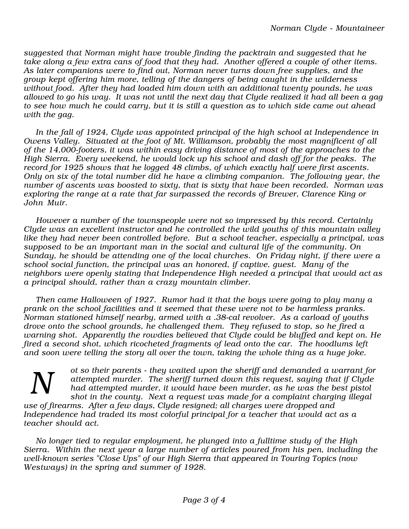suggested that Norman might have trouble finding the packtrain and suggested that he take along a few extra cans of food that they had. Another offered a couple of other items. As later companions were to find out, Norman never turns down free supplies, and the group kept offering him more, telling of the dangers of being caught in the wilderness without food. After they had loaded him down with an additional twenty pounds, he was allowed to go his way. It was not until the next day that Clyde realized it had all been a gag to see how much he could carry, but it is still a question as to which side came out ahead with the gag.

In the fall of 1924, Clyde was appointed principal of the high school at Independence in Owens Valley. Situated at the foot of Mt. Williamson, probably the most magnificent of all of the 14,000-footers, it was within easy driving distance of most of the approaches to the High Sierra. Every weekend, he would lock up his school and dash off for the peaks. The record for 1925 shows that he logged 48 climbs, of which exactly half were first ascents. Only on six of the total number did he have a climbing companion. The following year, the number of ascents was boosted to sixty, that is sixty that have been recorded. Norman was exploring the range at a rate that far surpassed the records of Brewer, Clarence King or John Muir.

However a number of the townspeople were not so impressed by this record. Certainly Clyde was an excellent instructor and he controlled the wild youths of this mountain valley like they had never been controlled before. But a school teacher, especially a principal, was supposed to be an important man in the social and cultural life of the community. On Sunday, he should be attending one of the local churches. On Friday night, if there were a school social function, the principal was an honored, if captive, guest. Many of the neighbors were openly stating that Independence High needed a principal that would act as a principal should, rather than a crazy mountain climber.

Then came Halloween of 1927. Rumor had it that the boys were going to play many a prank on the school facilities and it seemed that these were not to be harmless pranks. Norman stationed himself nearby, armed with a .38-cal revolver. As a carload of youths drove onto the school grounds, he challenged them. They refused to stop, so he fired a warning shot. Apparently the rowdies believed that Clyde could be bluffed and kept on. He fired a second shot, which ricocheted fragments of lead onto the car. The hoodlums left and soon were telling the story all over the town, taking the whole thing as a huge joke.

ot so their parents - they waited upon the sheriff and demanded a warrant for attempted murder. The sheriff turned down this request, saying that if Clyde had attempted murder, it would have been murder, as he was the best pistol shot in the county. Next a request was made for a complaint charging illegal N

use of firearms. After a few days, Clyde resigned; all charges were dropped and Independence had traded its most colorful principal for a teacher that would act as a teacher should act.

No longer tied to regular employment, he plunged into a fulltime study of the High Sierra. Within the next year a large number of articles poured from his pen, including the well-known series "Close Ups" of our High Sierra that appeared in Touring Topics (now Westways) in the spring and summer of 1928.